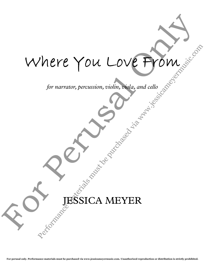# Where You Love From Where You Love From the Contemporary of the Contemporary of the Contemporary of the Contemporary of the Contemporary of the Contemporary of the Contemporary of the Contemporary of the Contemporary of the Contemporary of th There You Love From securities must be purchased via who contains and celler contains the property of the second celler companishes and celler companishes and celler companishes and celler companishes and celler companishe

*for narrator, percussion, violin, viola, and cello*

## $\check{\textrm{sSICA}}$  MEYER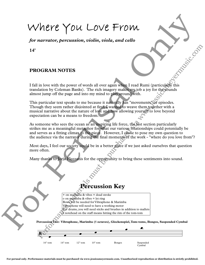## Where You Love From

*for narrator, percussion, violin, viola, and cello*

**14'**

### **PROGRAM NOTES**

I fall in love with the power of words all over again when I read Rumi (particularly this translation by Coleman Banks). The rich imagery makes my job a joy for the sounds almost jump off the page and into my mind to play around with.

This particular text speaks to me because it naturally has "movements" or episodes. Though they seem rather disjointed at first, I wanted to weave them together with a musical narrative about the nature of love and how allowing yourself to love beyond expectation can be a means to freedom.

As someone who sees the ocean as an inspiring life force, the last section particularly strikes me as a meaningful metaphor for what our various relationships could potentially be and serves as a fitting climax to the piece. However, I chose to pose my own question to the audience via the narrator during the final moments of the work - "where do you love from"? WHEYE YOU LOVE FYOUL<br>
for narrator, percussion, violin, viola, and cello<br>
14'<br>
PROGRAM NOTES<br>
1996 GRAM NOTES<br>
1996 GRAM NOTES<br>
1996 GRAM NOTES<br>
1996 GRAM NOTES<br>
1996 GRAM NOTES<br>
1996 GRAM NOTES<br>
1996 GRAM NOTES<br>
1996 GRA **DGRAM NOTES**<br>
in low with the power of words all over agains when I read Runi (particularly this<br>
intrins performance means on the non-production of the parameteristic must<br>
general that the purchase and into my mind to

Most days, I feel our society could be in a better place if we just asked ourselves that question more often.

Many thanks to Jorja Fleezanis for the opportunity to bring these sentiments into sound.

## **Percussion Key**

+ on marimba & vibes = dead stroke  $o$  on marimba & vibes = let ring Bows will be needed for Vibraphone & Marimba Vibraphone will need to have a working motor For drums, you will need sticks and brushes in addition to mallets x notehead on the staff means hitting the rim of the tom-tom

**Percussion List: Vibraphone, Marimba (5 octaves), Glockenspiel, Tom-toms, Bongos, Suspended Cymbal**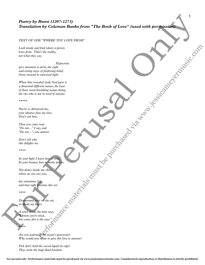## *Poetry by Rumi (1207-1273) Translation by Coleman Banks from "The Book of Love" (used with permission)* Poetry by Riveri (1207-1275)<br>
Translation by Coleman Banks from "The Rock of Love" (used with permutational<br>
TEXT OF OOS "THERE YOU CAT FROM"<br>
THE TRANSPARE TRANSPARE TRANSPARE TRANSPARE TRANSPARE TRANSPARE TRANSPARENT (U

3

### *TEXT OF ODE "WHERE YOU LOVE FROM"*

 *Look inside and find where a person loves from. That's the reality, not what they say.* 

### *Hypocrites*

*give attention to form, the right and wrong ways of professing belief. Grow instead in universal light.* 

 *When that revealed itself, God gave it a thousand different names, the least of those sweet-breathing names being, the one who is not in need of anyone.*  Performance materials must be purchased via www.jessicame.com<br>
and the purchase must be purchased via www.jessicame.com<br>
and the purchase must be purchased via www.jessicame.com<br>
and the purchase must be purchased via www.

### *\*\*\*\*\**

 *You've so distracted me, your absence fans my love. Don't ask how.* 

 *Then you come near. "Do not..." I say, and "Do not...", you answer.* 

 *Don't ask why this delights me* 

 *\*\*\*\** 

 *In your light I learn how to love. In your beauty, how to make poems.* 

 *You dance inside my chest where no one sees you,* 

 *but sometimes I do, and that sight becomes this art.* 

 *\*\*\*\** 

 *Drumsound rises on the air, its throb, my heart.* 

 *A voice inside the beat says, "I know you're tired, but come, this is the way." \*\*\*\**

 *Are you jealous of the ocean's generosity? Why would you refuse to give this love to anyone?* 

 *Fish don't hold the sacred liquid in cups! They swim the huge fluid freedom.*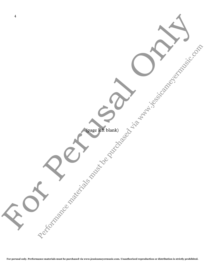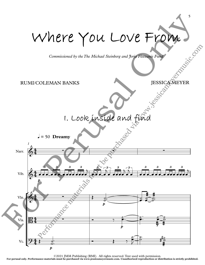Where You Love From 3

**JESSICAMEYER** 

5

*Commissioned by the The Michael Steinberg and Jorja Fleezanis Fund*

### RUMI/COLEMAN BANKS



©2021 JMM Publishing (BMI). All rights reserved. Text used with permission.<br>For perusal only. Performance materials must be purchased via www.jessicameyermusic.com. Unauthorized reproduction or distribution is strictly pr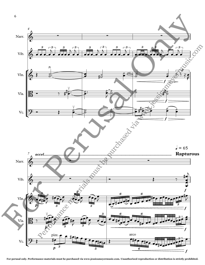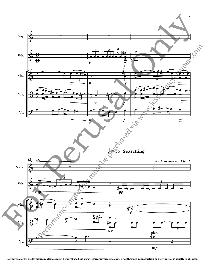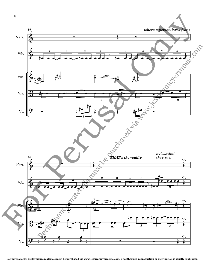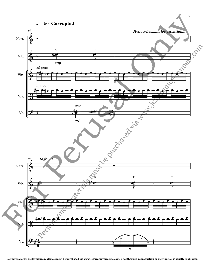$\epsilon$  = 60 **Corrupted** 



9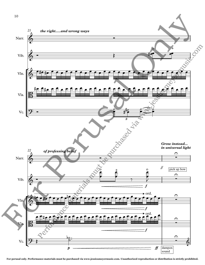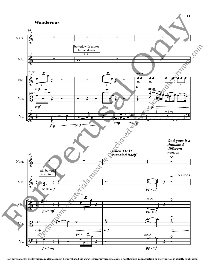

11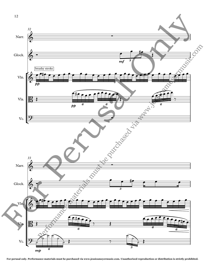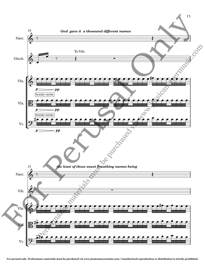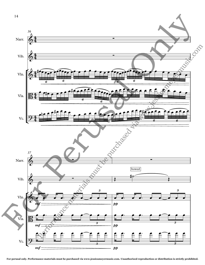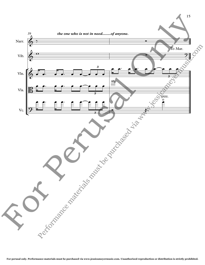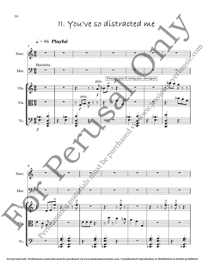II. You've so distracted me

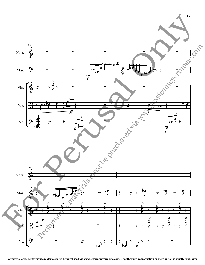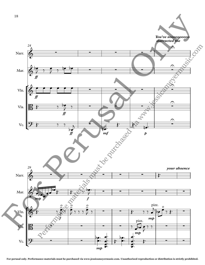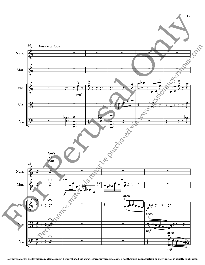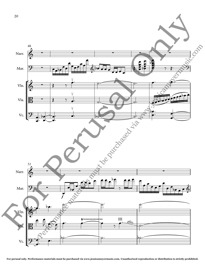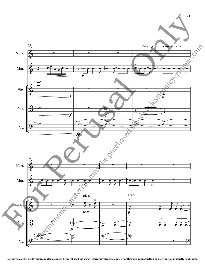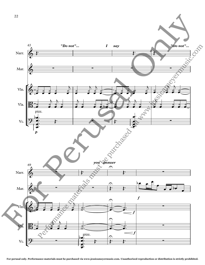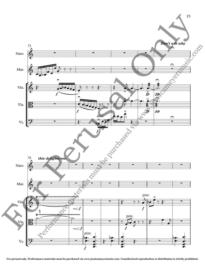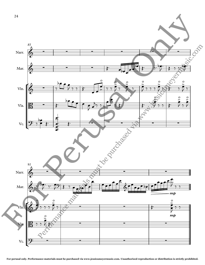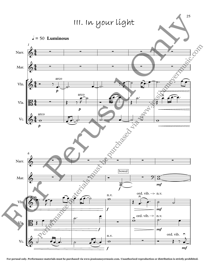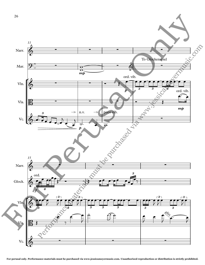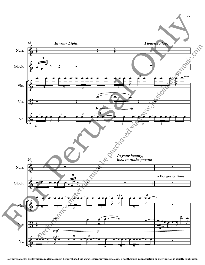

**For perusal only. Performance materials must be purchased via www.jessicameyermusic.com. Unauthorized reproduction or distribution is strictly prohibited.**

27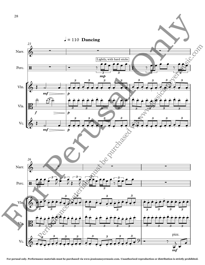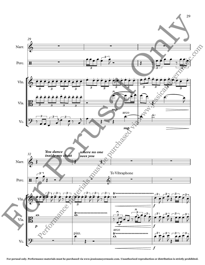

**For perusal only. Performance materials must be purchased via www.jessicameyermusic.com. Unauthorized reproduction or distribution is strictly prohibited.**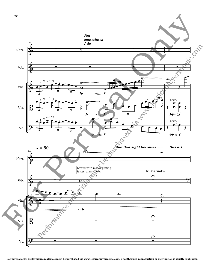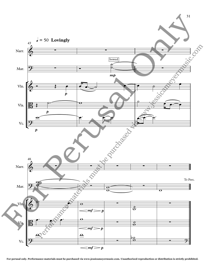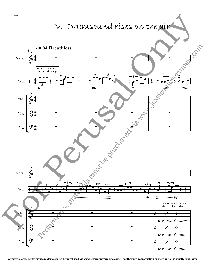IV. Drumsound rises on the air

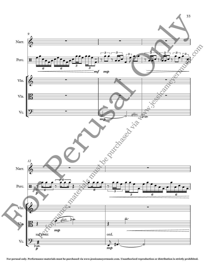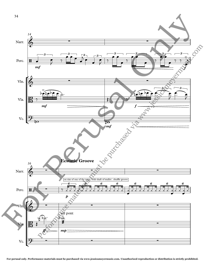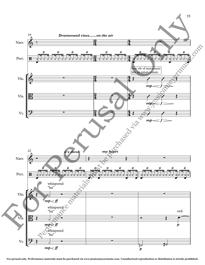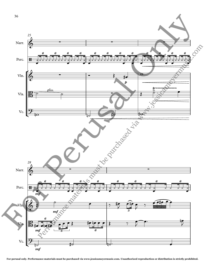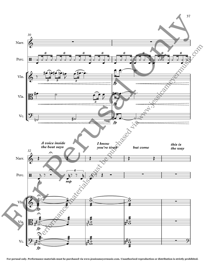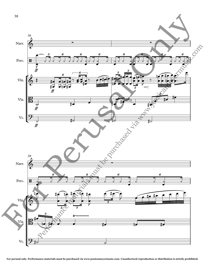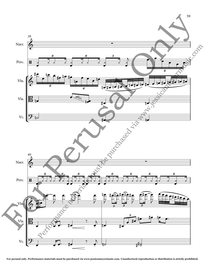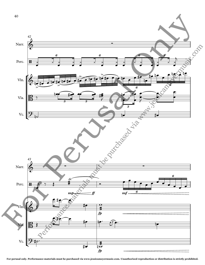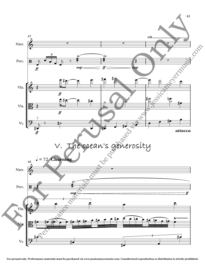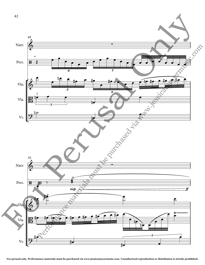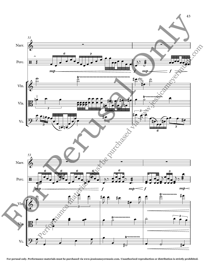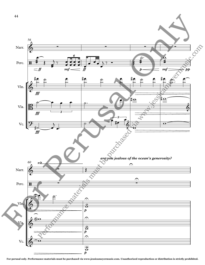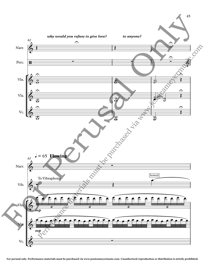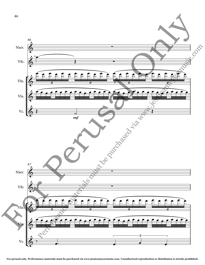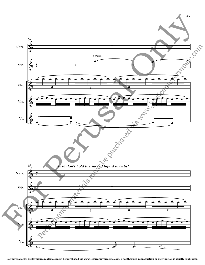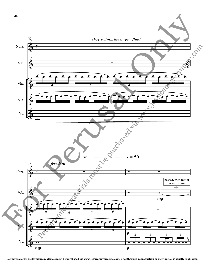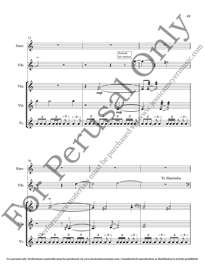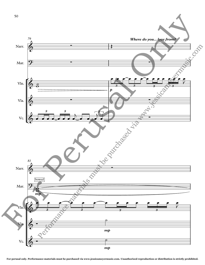